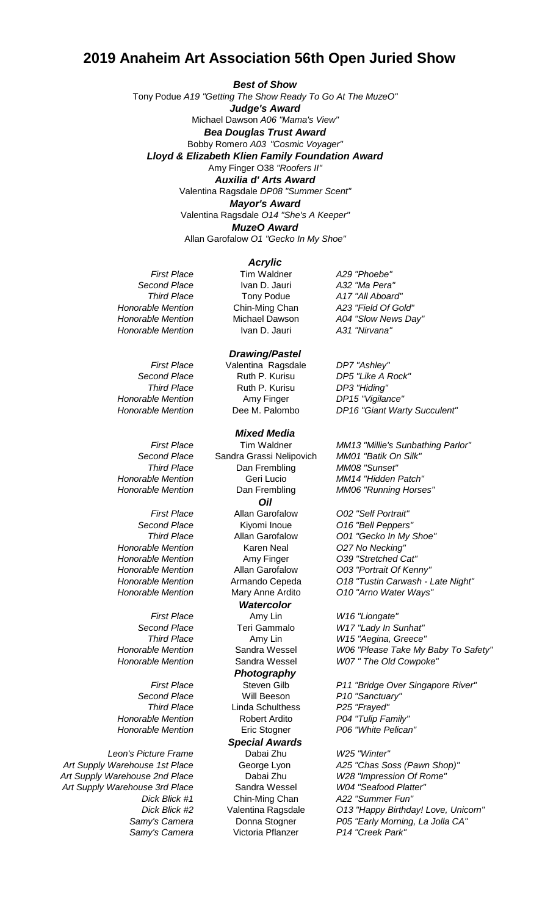## **2019 Anaheim Art Association 56th Open Juried Show**

Michael Dawson *A06 "Mama's View" Bea Douglas Trust Award* Bobby Romero *A03 "Cosmic Voyager" Lloyd & Elizabeth Klien Family Foundation Award* Amy Finger O38 *"Roofers II" Mayor's Award Auxilia d' Arts Award* Valentina Ragsdale *DP08 "Summer Scent"* Allan Garofalow *O1 "Gecko In My Shoe" Best of Show* Tony Podue *A19 "Getting The Show Ready To Go At The MuzeO"* Valentina Ragsdale *O14 "She's A Keeper" MuzeO Award Judge's Award*

## *Acrylic*

*Art Supply Warehouse 1st Place* George Lyon *A25 "Chas Soss (Pawn Shop)" Art Supply Warehouse 2nd Place* Dabai Zhu *W28 "Impression Of Rome" Art Supply Warehouse 3rd Place* Sandra Wessel *W04 "Seafood Platter"*

*First Place* Tim Waldner *A29 "Phoebe" Second Place* Ivan D. Jauri *A32 "Ma Pera" Third Place* Tony Podue *A17 "All Aboard" Honorable Mention* Ivan D. Jauri *A31 "Nirvana"*

*First Place* Valentina Ragsdale *DP7 "Ashley" Second Place* Ruth P. Kurisu *DP5 "Like A Rock" Third Place* Ruth P. Kurisu *DP3 "Hiding" Honorable Mention* Amy Finger *DP15 "Vigilance" Drawing/Pastel*

## *Mixed Media*

*Second Place* Sandra Grassi Nelipovich *MM01 "Batik Or*<br>**Third Place Stand Dan Frembling** *MM08 "Sunset"* **Dan Frembling** *Honorable Mention* Geri Lucio *MM14 "Hidden Patch" First Place* Allan Garofalow *O02 "Self Portrait" Second Place* Kiyomi Inoue *O16 "Bell Peppers" Honorable Mention* Karen Neal *O27 No Necking" Honorable Mention* Amy Finger *O39 "Stretched Cat" Honorable Mention* Mary Anne Ardito *O10 "Arno Water Ways" First Place* Amy Lin *W16 "Liongate" Second Place* Teri Gammalo *W17 "Lady In Sunhat" Third Place* Amy Lin *W15 "Aegina, Greece" Second Place* Will Beeson *P10 "Sanctuary" Third Place* Linda Schulthess *P25 "Frayed" Honorable Mention* Robert Ardito *P04 "Tulip Family" Honorable Mention* Eric Stogner *P06 "White Pelican" Leon's Picture Frame* Dabai Zhu *W25 "Winter" Dick Blick #1* Chin-Ming Chan *A22 "Summer Fun" Samy's Camera* Victoria Pflanzer *P14 "Creek Park" Special Awards Watercolor Photography Oil*

*Honorable Mention* Chin-Ming Chan *A23 "Field Of Gold" Honorable Mention* Michael Dawson *A04 "Slow News Day"*

*Honorable Mention* Dee M. Palombo *DP16 "Giant Warty Succulent"*

*First Place* Tim Waldner *MM13 "Millie's Sunbathing Parlor" Honorable Mention* Dan Frembling *MM06 "Running Horses"*

*Third Place* Allan Garofalow *O01 "Gecko In My Shoe" Honorable Mention* Allan Garofalow *O03 "Portrait Of Kenny" Honorable Mention* Armando Cepeda *O18 "Tustin Carwash - Late Night"*

*Honorable Mention* Sandra Wessel *W06 "Please Take My Baby To Safety" Honorable Mention* Sandra Wessel *W07 " The Old Cowpoke"*

*First Place* Steven Gilb *P11 "Bridge Over Singapore River"*

*Dick Blick #2* Valentina Ragsdale *O13 "Happy Birthday! Love, Unicorn" Samy's Camera* Donna Stogner *P05 "Early Morning, La Jolla CA"*